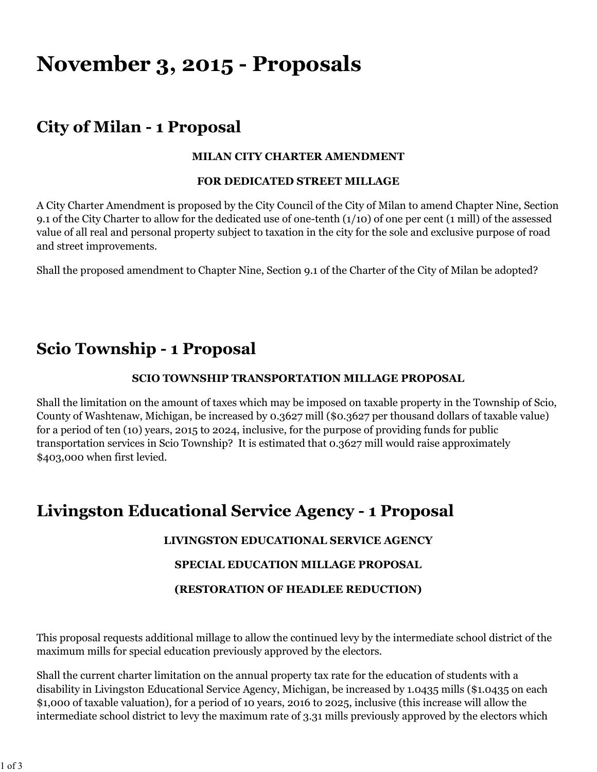# **November 3, 2015 - Proposals**

# **City of Milan - 1 Proposal**

### **MILAN CITY CHARTER AMENDMENT**

#### **FOR DEDICATED STREET MILLAGE**

A City Charter Amendment is proposed by the City Council of the City of Milan to amend Chapter Nine, Section 9.1 of the City Charter to allow for the dedicated use of one-tenth (1/10) of one per cent (1 mill) of the assessed value of all real and personal property subject to taxation in the city for the sole and exclusive purpose of road and street improvements.

Shall the proposed amendment to Chapter Nine, Section 9.1 of the Charter of the City of Milan be adopted?

## **Scio Township - 1 Proposal**

### **SCIO TOWNSHIP TRANSPORTATION MILLAGE PROPOSAL**

Shall the limitation on the amount of taxes which may be imposed on taxable property in the Township of Scio, County of Washtenaw, Michigan, be increased by 0.3627 mill (\$0.3627 per thousand dollars of taxable value) for a period of ten (10) years, 2015 to 2024, inclusive, for the purpose of providing funds for public transportation services in Scio Township? It is estimated that 0.3627 mill would raise approximately \$403,000 when first levied.

### **Livingston Educational Service Agency - 1 Proposal**

### **LIVINGSTON EDUCATIONAL SERVICE AGENCY**

### **SPECIAL EDUCATION MILLAGE PROPOSAL**

### **(RESTORATION OF HEADLEE REDUCTION)**

This proposal requests additional millage to allow the continued levy by the intermediate school district of the maximum mills for special education previously approved by the electors.

Shall the current charter limitation on the annual property tax rate for the education of students with a disability in Livingston Educational Service Agency, Michigan, be increased by 1.0435 mills (\$1.0435 on each \$1,000 of taxable valuation), for a period of 10 years, 2016 to 2025, inclusive (this increase will allow the intermediate school district to levy the maximum rate of 3.31 mills previously approved by the electors which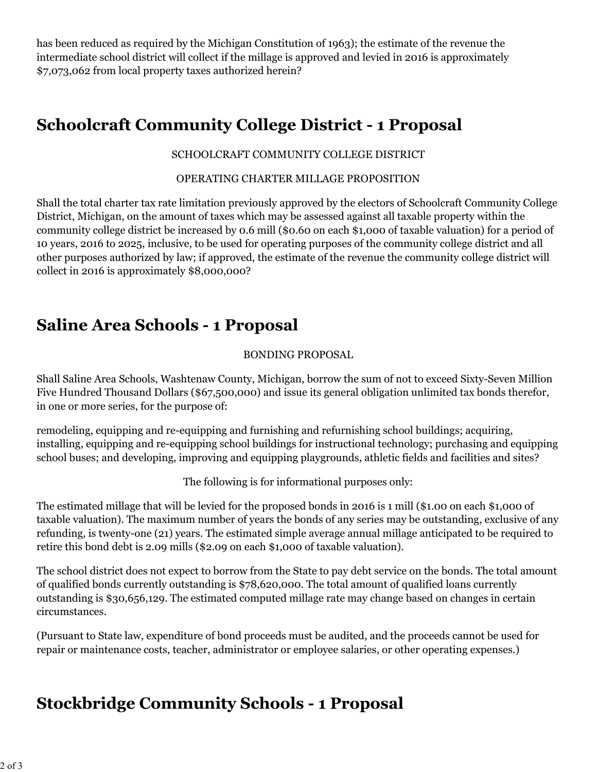has been reduced as required by the Michigan Constitution of 1963); the estimate of the revenue the intermediate school district will collect if the millage is approved and levied in 2016 is approximately \$7,073,062 from local property taxes authorized herein?

# **Schoolcraft Community College District - 1 Proposal**

### SCHOOLCRAFT COMMUNITY COLLEGE DISTRICT

#### OPERATING CHARTER MILLAGE PROPOSITION

Shall the total charter tax rate limitation previously approved by the electors of Schoolcraft Community College District, Michigan, on the amount of taxes which may be assessed against all taxable property within the community college district be increased by 0.6 mill (\$0.60 on each \$1,000 of taxable valuation) for a period of 10 years, 2016 to 2025, inclusive, to be used for operating purposes of the community college district and all other purposes authorized by law; if approved, the estimate of the revenue the community college district will collect in 2016 is approximately \$8,000,000?

### **Saline Area Schools - 1 Proposal**

### BONDING PROPOSAL

Shall Saline Area Schools, Washtenaw County, Michigan, borrow the sum of not to exceed Sixty-Seven Million Five Hundred Thousand Dollars (\$67,500,000) and issue its general obligation unlimited tax bonds therefor, in one or more series, for the purpose of:

remodeling, equipping and re-equipping and furnishing and refurnishing school buildings; acquiring, installing, equipping and re-equipping school buildings for instructional technology; purchasing and equipping school buses; and developing, improving and equipping playgrounds, athletic fields and facilities and sites?

The following is for informational purposes only:

The estimated millage that will be levied for the proposed bonds in 2016 is 1 mill (\$1.00 on each \$1,000 of taxable valuation). The maximum number of years the bonds of any series may be outstanding, exclusive of any refunding, is twenty-one (21) years. The estimated simple average annual millage anticipated to be required to retire this bond debt is 2.09 mills (\$2.09 on each \$1,000 of taxable valuation).

The school district does not expect to borrow from the State to pay debt service on the bonds. The total amount of qualified bonds currently outstanding is \$78,620,000. The total amount of qualified loans currently outstanding is \$30,656,129. The estimated computed millage rate may change based on changes in certain circumstances.

(Pursuant to State law, expenditure of bond proceeds must be audited, and the proceeds cannot be used for repair or maintenance costs, teacher, administrator or employee salaries, or other operating expenses.)

# **Stockbridge Community Schools - 1 Proposal**